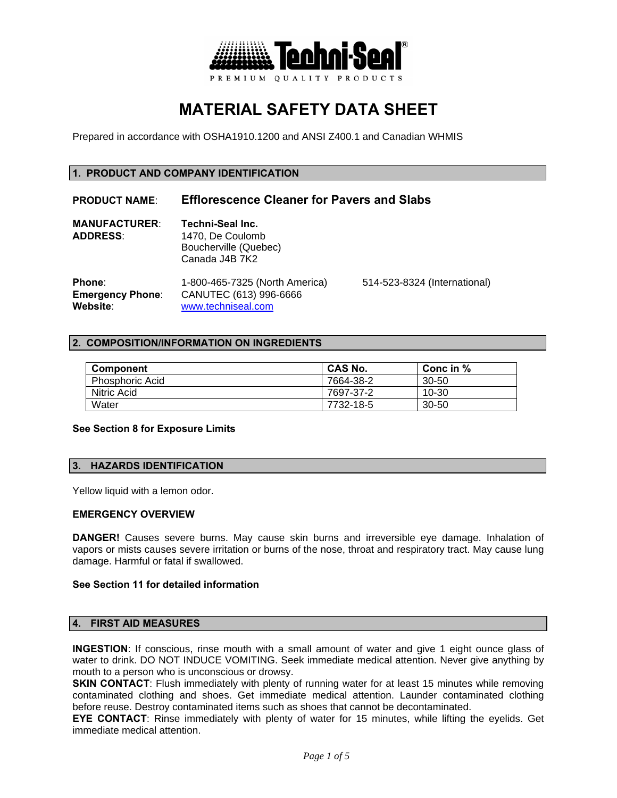

# **MATERIAL SAFETY DATA SHEET**

Prepared in accordance with OSHA1910.1200 and ANSI Z400.1 and Canadian WHMIS

# **1. PRODUCT AND COMPANY IDENTIFICATION**

# **PRODUCT NAME**: **Efflorescence Cleaner for Pavers and Slabs**

| <b>MANUFACTURER:</b> | Techni-Seal Inc.      |
|----------------------|-----------------------|
| <b>ADDRESS:</b>      | 1470. De Coulomb      |
|                      | Boucherville (Quebec) |
|                      | Canada J4B 7K2        |
|                      |                       |

**Phone**: 1-800-465-7325 (North America) 514-523-8324 (International) **Emergency Phone**: CANUTEC (613) 996-6666 **Website**: www.techniseal.com

## **2. COMPOSITION/INFORMATION ON INGREDIENTS**

| Component              | <b>CAS No.</b> | Conc in % |
|------------------------|----------------|-----------|
| <b>Phosphoric Acid</b> | 7664-38-2      | 30-50     |
| Nitric Acid            | 7697-37-2      | 10-30     |
| Water                  | 7732-18-5      | $30 - 50$ |

#### **See Section 8 for Exposure Limits**

# **3. HAZARDS IDENTIFICATION**

Yellow liquid with a lemon odor.

#### **EMERGENCY OVERVIEW**

**DANGER!** Causes severe burns. May cause skin burns and irreversible eye damage. Inhalation of vapors or mists causes severe irritation or burns of the nose, throat and respiratory tract. May cause lung damage. Harmful or fatal if swallowed.

## **See Section 11 for detailed information**

## **4. FIRST AID MEASURES**

**INGESTION**: If conscious, rinse mouth with a small amount of water and give 1 eight ounce glass of water to drink. DO NOT INDUCE VOMITING. Seek immediate medical attention. Never give anything by mouth to a person who is unconscious or drowsy.

**SKIN CONTACT:** Flush immediately with plenty of running water for at least 15 minutes while removing contaminated clothing and shoes. Get immediate medical attention. Launder contaminated clothing before reuse. Destroy contaminated items such as shoes that cannot be decontaminated.

**EYE CONTACT**: Rinse immediately with plenty of water for 15 minutes, while lifting the eyelids. Get immediate medical attention.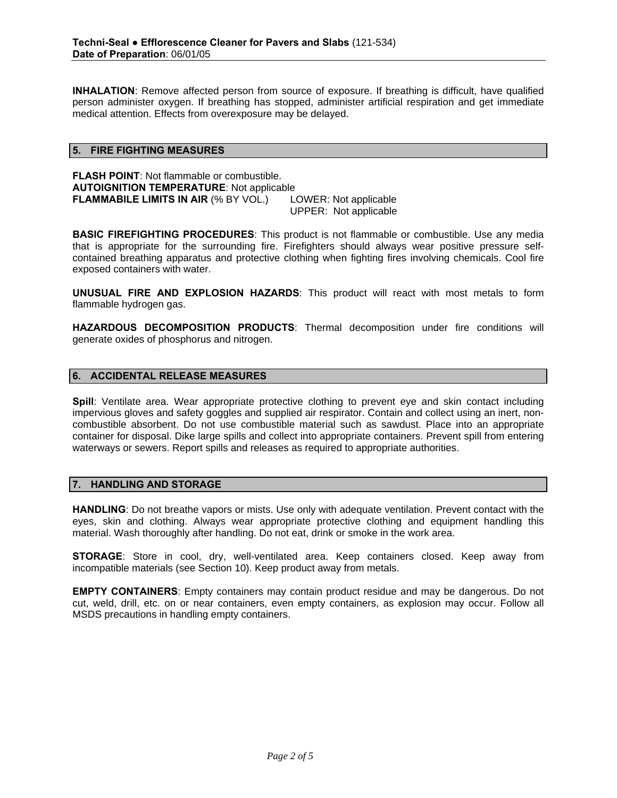**INHALATION**: Remove affected person from source of exposure. If breathing is difficult, have qualified person administer oxygen. If breathing has stopped, administer artificial respiration and get immediate medical attention. Effects from overexposure may be delayed.

## **5. FIRE FIGHTING MEASURES**

**FLASH POINT**: Not flammable or combustible. **AUTOIGNITION TEMPERATURE**: Not applicable **FLAMMABILE LIMITS IN AIR (% BY VOL.)** LOWER: Not applicable UPPER: Not applicable

**BASIC FIREFIGHTING PROCEDURES**: This product is not flammable or combustible. Use any media that is appropriate for the surrounding fire. Firefighters should always wear positive pressure selfcontained breathing apparatus and protective clothing when fighting fires involving chemicals. Cool fire exposed containers with water.

**UNUSUAL FIRE AND EXPLOSION HAZARDS**: This product will react with most metals to form flammable hydrogen gas.

**HAZARDOUS DECOMPOSITION PRODUCTS**: Thermal decomposition under fire conditions will generate oxides of phosphorus and nitrogen.

# **6. ACCIDENTAL RELEASE MEASURES**

**Spill**: Ventilate area. Wear appropriate protective clothing to prevent eve and skin contact including impervious gloves and safety goggles and supplied air respirator. Contain and collect using an inert, noncombustible absorbent. Do not use combustible material such as sawdust. Place into an appropriate container for disposal. Dike large spills and collect into appropriate containers. Prevent spill from entering waterways or sewers. Report spills and releases as required to appropriate authorities.

## **7. HANDLING AND STORAGE**

**HANDLING**: Do not breathe vapors or mists. Use only with adequate ventilation. Prevent contact with the eyes, skin and clothing. Always wear appropriate protective clothing and equipment handling this material. Wash thoroughly after handling. Do not eat, drink or smoke in the work area.

**STORAGE**: Store in cool, dry, well-ventilated area. Keep containers closed. Keep away from incompatible materials (see Section 10). Keep product away from metals.

**EMPTY CONTAINERS**: Empty containers may contain product residue and may be dangerous. Do not cut, weld, drill, etc. on or near containers, even empty containers, as explosion may occur. Follow all MSDS precautions in handling empty containers.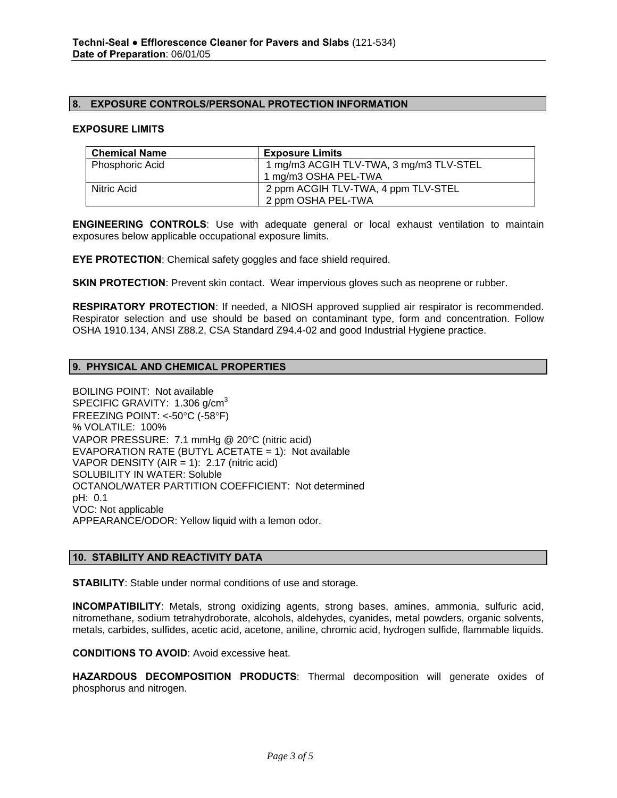## **8. EXPOSURE CONTROLS/PERSONAL PROTECTION INFORMATION**

#### **EXPOSURE LIMITS**

| <b>Chemical Name</b>   | <b>Exposure Limits</b>                  |
|------------------------|-----------------------------------------|
| <b>Phosphoric Acid</b> | 1 mg/m3 ACGIH TLV-TWA, 3 mg/m3 TLV-STEL |
|                        | 1 mg/m3 OSHA PEL-TWA                    |
| Nitric Acid            | 2 ppm ACGIH TLV-TWA, 4 ppm TLV-STEL     |
|                        | 2 ppm OSHA PEL-TWA                      |

**ENGINEERING CONTROLS**: Use with adequate general or local exhaust ventilation to maintain exposures below applicable occupational exposure limits.

**EYE PROTECTION**: Chemical safety goggles and face shield required.

**SKIN PROTECTION**: Prevent skin contact. Wear impervious gloves such as neoprene or rubber.

**RESPIRATORY PROTECTION**: If needed, a NIOSH approved supplied air respirator is recommended. Respirator selection and use should be based on contaminant type, form and concentration. Follow OSHA 1910.134, ANSI Z88.2, CSA Standard Z94.4-02 and good Industrial Hygiene practice.

## **9. PHYSICAL AND CHEMICAL PROPERTIES**

BOILING POINT: Not available SPECIFIC GRAVITY: 1.306 g/cm<sup>3</sup> FREEZING POINT: <-50°C (-58°F) % VOLATILE: 100% VAPOR PRESSURE: 7.1 mmHg @ 20°C (nitric acid) EVAPORATION RATE (BUTYL ACETATE = 1): Not available VAPOR DENSITY (AIR = 1):  $2.17$  (nitric acid) SOLUBILITY IN WATER: Soluble OCTANOL/WATER PARTITION COEFFICIENT: Not determined pH: 0.1 VOC: Not applicable APPEARANCE/ODOR: Yellow liquid with a lemon odor.

## **10. STABILITY AND REACTIVITY DATA**

**STABILITY**: Stable under normal conditions of use and storage.

**INCOMPATIBILITY**: Metals, strong oxidizing agents, strong bases, amines, ammonia, sulfuric acid, nitromethane, sodium tetrahydroborate, alcohols, aldehydes, cyanides, metal powders, organic solvents, metals, carbides, sulfides, acetic acid, acetone, aniline, chromic acid, hydrogen sulfide, flammable liquids.

**CONDITIONS TO AVOID**: Avoid excessive heat.

**HAZARDOUS DECOMPOSITION PRODUCTS**: Thermal decomposition will generate oxides of phosphorus and nitrogen.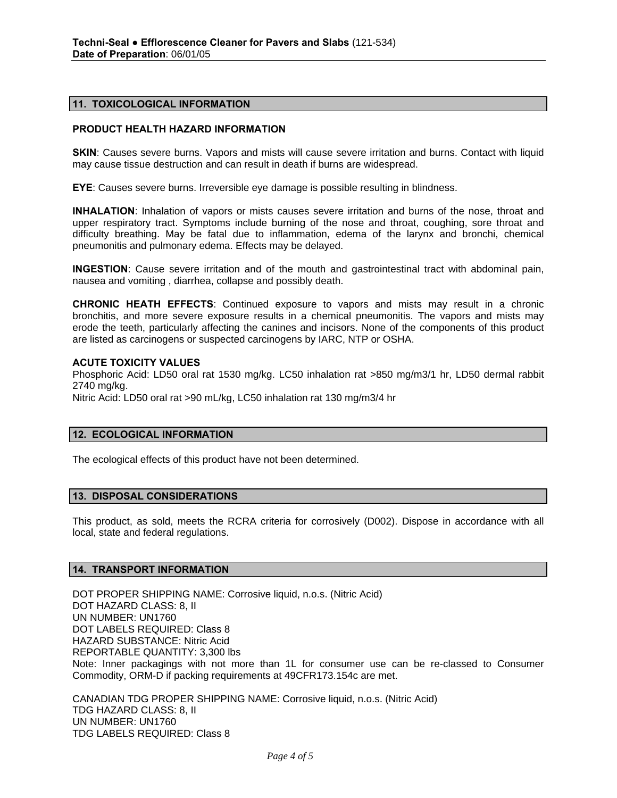#### **11. TOXICOLOGICAL INFORMATION**

## **PRODUCT HEALTH HAZARD INFORMATION**

**SKIN:** Causes severe burns. Vapors and mists will cause severe irritation and burns. Contact with liquid may cause tissue destruction and can result in death if burns are widespread.

**EYE**: Causes severe burns. Irreversible eye damage is possible resulting in blindness.

**INHALATION**: Inhalation of vapors or mists causes severe irritation and burns of the nose, throat and upper respiratory tract. Symptoms include burning of the nose and throat, coughing, sore throat and difficulty breathing. May be fatal due to inflammation, edema of the larynx and bronchi, chemical pneumonitis and pulmonary edema. Effects may be delayed.

**INGESTION**: Cause severe irritation and of the mouth and gastrointestinal tract with abdominal pain, nausea and vomiting , diarrhea, collapse and possibly death.

**CHRONIC HEATH EFFECTS**: Continued exposure to vapors and mists may result in a chronic bronchitis, and more severe exposure results in a chemical pneumonitis. The vapors and mists may erode the teeth, particularly affecting the canines and incisors. None of the components of this product are listed as carcinogens or suspected carcinogens by IARC, NTP or OSHA.

#### **ACUTE TOXICITY VALUES**

Phosphoric Acid: LD50 oral rat 1530 mg/kg. LC50 inhalation rat >850 mg/m3/1 hr, LD50 dermal rabbit 2740 mg/kg. Nitric Acid: LD50 oral rat >90 mL/kg, LC50 inhalation rat 130 mg/m3/4 hr

#### **12. ECOLOGICAL INFORMATION**

The ecological effects of this product have not been determined.

#### **13. DISPOSAL CONSIDERATIONS**

This product, as sold, meets the RCRA criteria for corrosively (D002). Dispose in accordance with all local, state and federal regulations.

#### **14. TRANSPORT INFORMATION**

DOT PROPER SHIPPING NAME: Corrosive liquid, n.o.s. (Nitric Acid) DOT HAZARD CLASS: 8, II UN NUMBER: UN1760 DOT LABELS REQUIRED: Class 8 HAZARD SUBSTANCE: Nitric Acid REPORTABLE QUANTITY: 3,300 lbs Note: Inner packagings with not more than 1L for consumer use can be re-classed to Consumer Commodity, ORM-D if packing requirements at 49CFR173.154c are met.

CANADIAN TDG PROPER SHIPPING NAME: Corrosive liquid, n.o.s. (Nitric Acid) TDG HAZARD CLASS: 8, II UN NUMBER: UN1760 TDG LABELS REQUIRED: Class 8